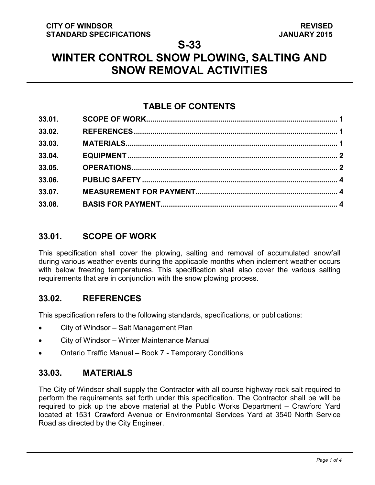# **WINTER CONTROL SNOW PLOWING, SALTING AND SNOW REMOVAL ACTIVITIES**

## **TABLE OF CONTENTS**

| 33.01. |  |
|--------|--|
| 33.02. |  |
| 33.03. |  |
| 33.04. |  |
| 33.05. |  |
| 33.06. |  |
| 33.07. |  |
| 33.08. |  |

## <span id="page-0-2"></span>**33.01. SCOPE OF WORK**

This specification shall cover the plowing, salting and removal of accumulated snowfall during various weather events during the applicable months when inclement weather occurs with below freezing temperatures. This specification shall also cover the various salting requirements that are in conjunction with the snow plowing process.

## <span id="page-0-0"></span>**33.02. REFERENCES**

This specification refers to the following standards, specifications, or publications:

- City of Windsor Salt Management Plan
- City of Windsor Winter Maintenance Manual
- Ontario Traffic Manual Book 7 Temporary Conditions

## <span id="page-0-1"></span>**33.03. MATERIALS**

The City of Windsor shall supply the Contractor with all course highway rock salt required to perform the requirements set forth under this specification. The Contractor shall be will be required to pick up the above material at the Public Works Department – Crawford Yard located at 1531 Crawford Avenue or Environmental Services Yard at 3540 North Service Road as directed by the City Engineer.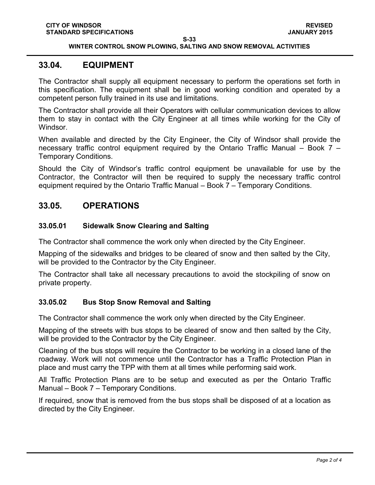#### **WINTER CONTROL SNOW PLOWING, SALTING AND SNOW REMOVAL ACTIVITIES**

#### <span id="page-1-0"></span>**33.04. EQUIPMENT**

The Contractor shall supply all equipment necessary to perform the operations set forth in this specification. The equipment shall be in good working condition and operated by a competent person fully trained in its use and limitations.

The Contractor shall provide all their Operators with cellular communication devices to allow them to stay in contact with the City Engineer at all times while working for the City of Windsor.

When available and directed by the City Engineer, the City of Windsor shall provide the necessary traffic control equipment required by the Ontario Traffic Manual – Book 7 – Temporary Conditions.

Should the City of Windsor's traffic control equipment be unavailable for use by the Contractor, the Contractor will then be required to supply the necessary traffic control equipment required by the Ontario Traffic Manual – Book 7 – Temporary Conditions.

### <span id="page-1-1"></span>**33.05. OPERATIONS**

#### **33.05.01 Sidewalk Snow Clearing and Salting**

The Contractor shall commence the work only when directed by the City Engineer.

Mapping of the sidewalks and bridges to be cleared of snow and then salted by the City, will be provided to the Contractor by the City Engineer.

The Contractor shall take all necessary precautions to avoid the stockpiling of snow on private property.

#### **33.05.02 Bus Stop Snow Removal and Salting**

The Contractor shall commence the work only when directed by the City Engineer.

Mapping of the streets with bus stops to be cleared of snow and then salted by the City, will be provided to the Contractor by the City Engineer.

Cleaning of the bus stops will require the Contractor to be working in a closed lane of the roadway. Work will not commence until the Contractor has a Traffic Protection Plan in place and must carry the TPP with them at all times while performing said work.

All Traffic Protection Plans are to be setup and executed as per the Ontario Traffic Manual – Book 7 – Temporary Conditions.

If required, snow that is removed from the bus stops shall be disposed of at a location as directed by the City Engineer.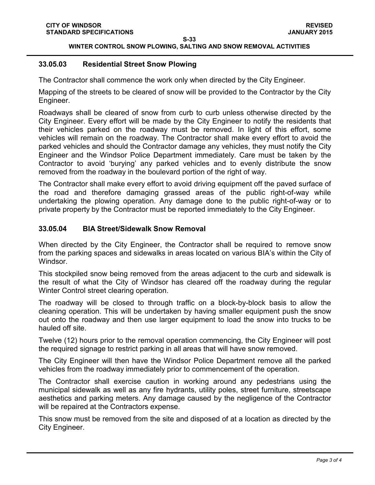**WINTER CONTROL SNOW PLOWING, SALTING AND SNOW REMOVAL ACTIVITIES**

#### **33.05.03 Residential Street Snow Plowing**

The Contractor shall commence the work only when directed by the City Engineer.

Mapping of the streets to be cleared of snow will be provided to the Contractor by the City Engineer.

Roadways shall be cleared of snow from curb to curb unless otherwise directed by the City Engineer. Every effort will be made by the City Engineer to notify the residents that their vehicles parked on the roadway must be removed. In light of this effort, some vehicles will remain on the roadway. The Contractor shall make every effort to avoid the parked vehicles and should the Contractor damage any vehicles, they must notify the City Engineer and the Windsor Police Department immediately. Care must be taken by the Contractor to avoid 'burying' any parked vehicles and to evenly distribute the snow removed from the roadway in the boulevard portion of the right of way.

The Contractor shall make every effort to avoid driving equipment off the paved surface of the road and therefore damaging grassed areas of the public right-of-way while undertaking the plowing operation. Any damage done to the public right-of-way or to private property by the Contractor must be reported immediately to the City Engineer.

### **33.05.04 BIA Street/Sidewalk Snow Removal**

When directed by the City Engineer, the Contractor shall be required to remove snow from the parking spaces and sidewalks in areas located on various BIA's within the City of Windsor.

This stockpiled snow being removed from the areas adjacent to the curb and sidewalk is the result of what the City of Windsor has cleared off the roadway during the regular Winter Control street clearing operation.

The roadway will be closed to through traffic on a block-by-block basis to allow the cleaning operation. This will be undertaken by having smaller equipment push the snow out onto the roadway and then use larger equipment to load the snow into trucks to be hauled off site.

Twelve (12) hours prior to the removal operation commencing, the City Engineer will post the required signage to restrict parking in all areas that will have snow removed.

The City Engineer will then have the Windsor Police Department remove all the parked vehicles from the roadway immediately prior to commencement of the operation.

The Contractor shall exercise caution in working around any pedestrians using the municipal sidewalk as well as any fire hydrants, utility poles, street furniture, streetscape aesthetics and parking meters. Any damage caused by the negligence of the Contractor will be repaired at the Contractors expense.

This snow must be removed from the site and disposed of at a location as directed by the City Engineer.